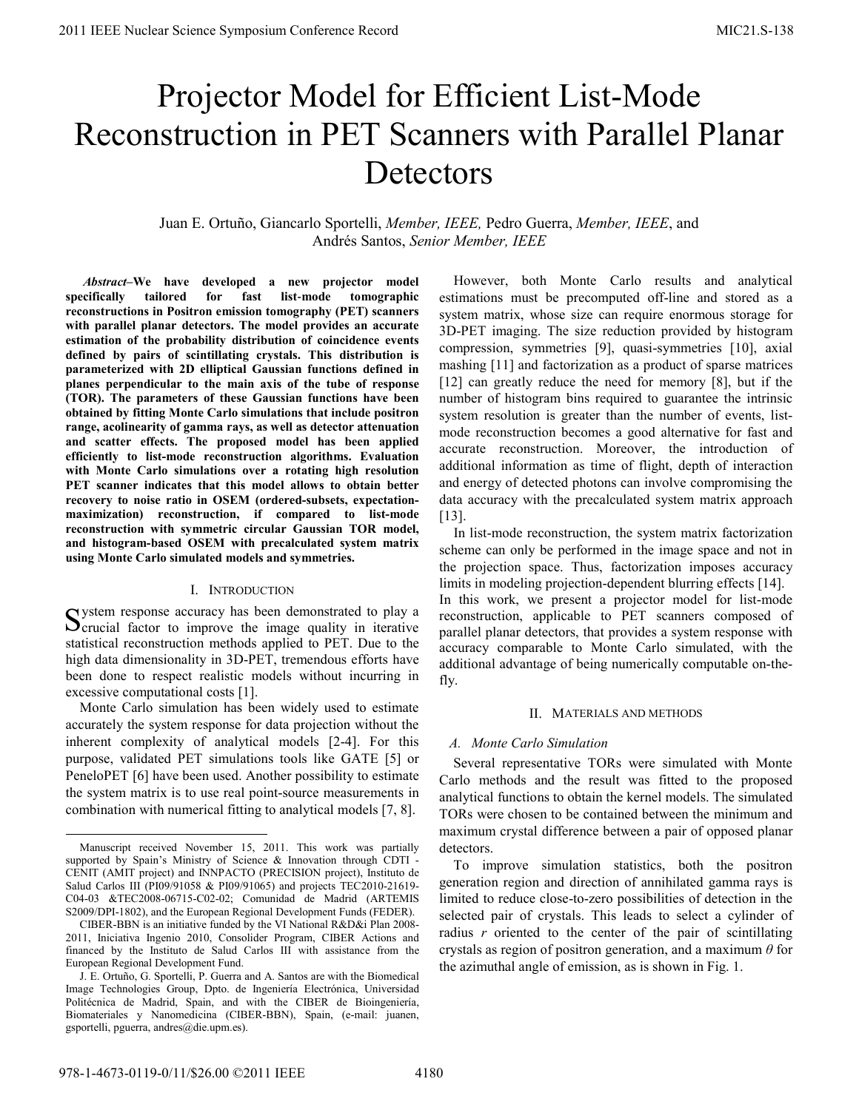# Projector Model for Efficient List-Mode Reconstruction in PET Scanners with Parallel Planar **Detectors**

Juan E. Ortuño, Giancarlo Sportelli, *Member, IEEE,* Pedro Guerra, *Member, IEEE*, and Andrés Santos, *Senior Member, IEEE*

 *Abstract–***We have developed a new projector model specifically tailored for fast list**‐**mode tomographic reconstructions in Positron emission tomography (PET) scanners with parallel planar detectors. The model provides an accurate estimation of the probability distribution of coincidence events defined by pairs of scintillating crystals. This distribution is parameterized with 2D elliptical Gaussian functions defined in planes perpendicular to the main axis of the tube of response (TOR). The parameters of these Gaussian functions have been obtained by fitting Monte Carlo simulations that include positron range, acolinearity of gamma rays, as well as detector attenuation and scatter effects. The proposed model has been applied efficiently to list-mode reconstruction algorithms. Evaluation with Monte Carlo simulations over a rotating high resolution PET scanner indicates that this model allows to obtain better recovery to noise ratio in OSEM (ordered-subsets, expectationmaximization) reconstruction, if compared to list-mode reconstruction with symmetric circular Gaussian TOR model, and histogram-based OSEM with precalculated system matrix using Monte Carlo simulated models and symmetries.** 

#### I. INTRODUCTION

ystem response accuracy has been demonstrated to play a System response accuracy has been demonstrated to play a Scrucial factor to improve the image quality in iterative statistical reconstruction methods applied to PET. Due to the high data dimensionality in 3D-PET, tremendous efforts have been done to respect realistic models without incurring in excessive computational costs [1].

Monte Carlo simulation has been widely used to estimate accurately the system response for data projection without the inherent complexity of analytical models [2-4]. For this purpose, validated PET simulations tools like GATE [5] or PeneloPET [6] have been used. Another possibility to estimate the system matrix is to use real point-source measurements in combination with numerical fitting to analytical models [7, 8].

However, both Monte Carlo results and analytical estimations must be precomputed off-line and stored as a system matrix, whose size can require enormous storage for 3D-PET imaging. The size reduction provided by histogram compression, symmetries [9], quasi-symmetries [10], axial mashing [11] and factorization as a product of sparse matrices [12] can greatly reduce the need for memory [8], but if the number of histogram bins required to guarantee the intrinsic system resolution is greater than the number of events, listmode reconstruction becomes a good alternative for fast and accurate reconstruction. Moreover, the introduction of additional information as time of flight, depth of interaction and energy of detected photons can involve compromising the data accuracy with the precalculated system matrix approach [13].

In list-mode reconstruction, the system matrix factorization scheme can only be performed in the image space and not in the projection space. Thus, factorization imposes accuracy limits in modeling projection-dependent blurring effects [14]. In this work, we present a projector model for list-mode reconstruction, applicable to PET scanners composed of parallel planar detectors, that provides a system response with accuracy comparable to Monte Carlo simulated, with the additional advantage of being numerically computable on-thefly.

#### II. MATERIALS AND METHODS

# *A. Monte Carlo Simulation*

Several representative TORs were simulated with Monte Carlo methods and the result was fitted to the proposed analytical functions to obtain the kernel models. The simulated TORs were chosen to be contained between the minimum and maximum crystal difference between a pair of opposed planar detectors.

To improve simulation statistics, both the positron generation region and direction of annihilated gamma rays is limited to reduce close-to-zero possibilities of detection in the selected pair of crystals. This leads to select a cylinder of radius *r* oriented to the center of the pair of scintillating crystals as region of positron generation, and a maximum *θ* for the azimuthal angle of emission, as is shown in Fig. 1.

Manuscript received November 15, 2011. This work was partially supported by Spain's Ministry of Science & Innovation through CDTI - CENIT (AMIT project) and INNPACTO (PRECISION project), Instituto de Salud Carlos III (PI09/91058 & PI09/91065) and projects TEC2010-21619- C04-03 &TEC2008-06715-C02-02; Comunidad de Madrid (ARTEMIS S2009/DPI-1802), and the European Regional Development Funds (FEDER).

CIBER-BBN is an initiative funded by the VI National R&D&i Plan 2008- 2011, Iniciativa Ingenio 2010, Consolider Program, CIBER Actions and financed by the Instituto de Salud Carlos III with assistance from the European Regional Development Fund.

J. E. Ortuño, G. Sportelli, P. Guerra and A. Santos are with the Biomedical Image Technologies Group, Dpto. de Ingeniería Electrónica, Universidad Politécnica de Madrid, Spain, and with the CIBER de Bioingeniería, Biomateriales y Nanomedicina (CIBER-BBN), Spain, (e-mail: juanen, gsportelli, pguerra, andres@die.upm.es).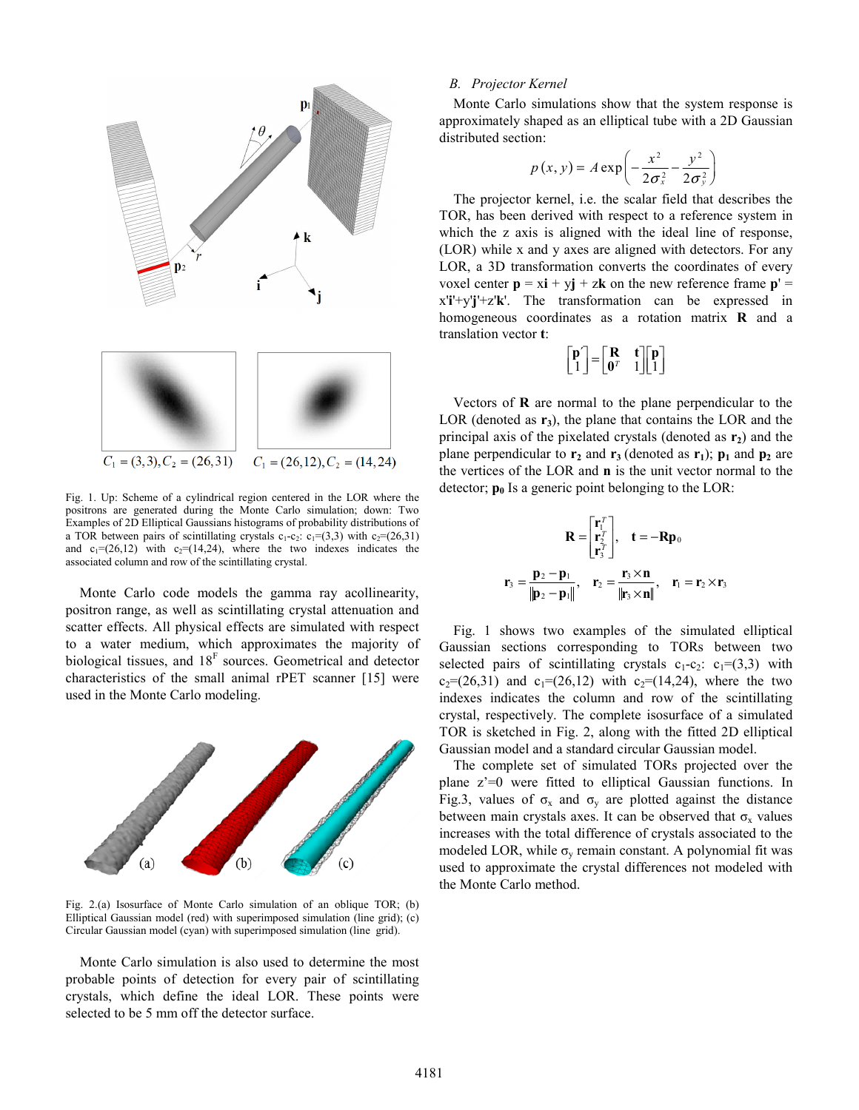

Fig. 1. Up: Scheme of a cylindrical region centered in the LOR where the positrons are generated during the Monte Carlo simulation; down: Two Examples of 2D Elliptical Gaussians histograms of probability distributions of a TOR between pairs of scintillating crystals  $c_1-c_2$ :  $c_1=(3,3)$  with  $c_2=(26,31)$ and  $c_1=(26,12)$  with  $c_2=(14,24)$ , where the two indexes indicates the associated column and row of the scintillating crystal.

Monte Carlo code models the gamma ray acollinearity, positron range, as well as scintillating crystal attenuation and scatter effects. All physical effects are simulated with respect to a water medium, which approximates the majority of biological tissues, and  $18<sup>F</sup>$  sources. Geometrical and detector characteristics of the small animal rPET scanner [15] were used in the Monte Carlo modeling.



Fig. 2.(a) Isosurface of Monte Carlo simulation of an oblique TOR; (b) Elliptical Gaussian model (red) with superimposed simulation (line grid); (c) Circular Gaussian model (cyan) with superimposed simulation (line grid).

Monte Carlo simulation is also used to determine the most probable points of detection for every pair of scintillating crystals, which define the ideal LOR. These points were selected to be 5 mm off the detector surface.

# *B. Projector Kernel*

Monte Carlo simulations show that the system response is approximately shaped as an elliptical tube with a 2D Gaussian distributed section:

$$
p(x, y) = A \exp\left(-\frac{x^2}{2\sigma_x^2} - \frac{y^2}{2\sigma_y^2}\right)
$$

The projector kernel, i.e. the scalar field that describes the TOR, has been derived with respect to a reference system in which the z axis is aligned with the ideal line of response, (LOR) while x and y axes are aligned with detectors. For any LOR, a 3D transformation converts the coordinates of every voxel center  $\mathbf{p} = x\mathbf{i} + y\mathbf{j} + z\mathbf{k}$  on the new reference frame  $\mathbf{p}' =$ x'**i**'+y'**j**'+z'**k**'. The transformation can be expressed in homogeneous coordinates as a rotation matrix **R** and a translation vector **t**:

$$
\begin{bmatrix} \mathbf{p}' \\ 1 \end{bmatrix} = \begin{bmatrix} \mathbf{R} & \mathbf{t} \\ \mathbf{0}^T & 1 \end{bmatrix} \begin{bmatrix} \mathbf{p} \\ 1 \end{bmatrix}
$$

Vectors of **R** are normal to the plane perpendicular to the LOR (denoted as  $r_3$ ), the plane that contains the LOR and the principal axis of the pixelated crystals (denoted as  $\mathbf{r}_2$ ) and the plane perpendicular to  $\mathbf{r}_2$  and  $\mathbf{r}_3$  (denoted as  $\mathbf{r}_1$ );  $\mathbf{p}_1$  and  $\mathbf{p}_2$  are the vertices of the LOR and **n** is the unit vector normal to the detector;  $\mathbf{p}_0$  Is a generic point belonging to the LOR:

$$
\mathbf{R} = \begin{bmatrix} \mathbf{r}_1^T \\ \mathbf{r}_2^T \\ \mathbf{r}_3^T \end{bmatrix}, \quad \mathbf{t} = -\mathbf{R}\mathbf{p}_0
$$

$$
\mathbf{r}_3 = \frac{\mathbf{p}_2 - \mathbf{p}_1}{\|\mathbf{p}_2 - \mathbf{p}_1\|}, \quad \mathbf{r}_2 = \frac{\mathbf{r}_3 \times \mathbf{n}}{\|\mathbf{r}_3 \times \mathbf{n}\|}, \quad \mathbf{r}_1 = \mathbf{r}_2 \times \mathbf{r}_3
$$

Fig. 1 shows two examples of the simulated elliptical Gaussian sections corresponding to TORs between two selected pairs of scintillating crystals  $c_1-c_2$ :  $c_1=(3,3)$  with  $c_2=(26,31)$  and  $c_1=(26,12)$  with  $c_2=(14,24)$ , where the two indexes indicates the column and row of the scintillating crystal, respectively. The complete isosurface of a simulated TOR is sketched in Fig. 2, along with the fitted 2D elliptical Gaussian model and a standard circular Gaussian model.

The complete set of simulated TORs projected over the plane z'=0 were fitted to elliptical Gaussian functions. In Fig.3, values of  $\sigma_x$  and  $\sigma_y$  are plotted against the distance between main crystals axes. It can be observed that  $\sigma_x$  values increases with the total difference of crystals associated to the modeled LOR, while  $\sigma_{v}$  remain constant. A polynomial fit was used to approximate the crystal differences not modeled with the Monte Carlo method.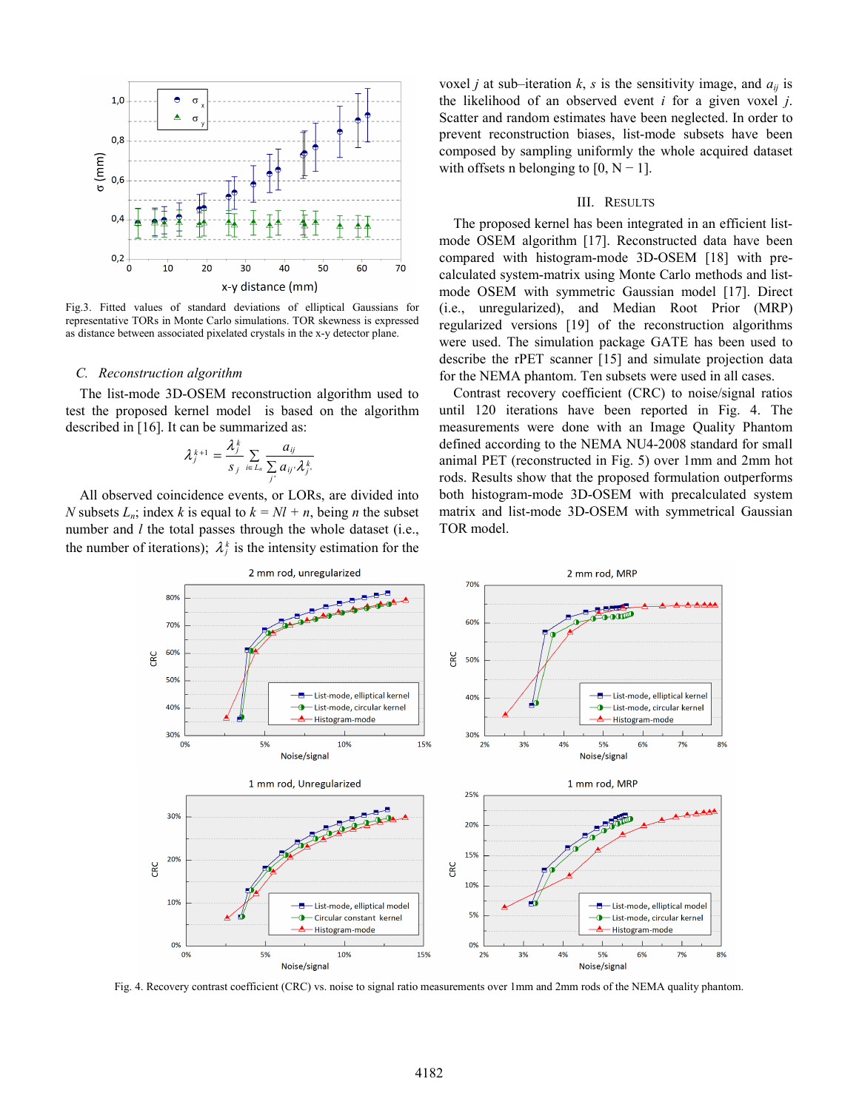

Fig.3. Fitted values of standard deviations of elliptical Gaussians for representative TORs in Monte Carlo simulations. TOR skewness is expressed as distance between associated pixelated crystals in the x-y detector plane.

### *C. Reconstruction algorithm*

The list-mode 3D-OSEM reconstruction algorithm used to test the proposed kernel model is based on the algorithm described in [16]. It can be summarized as:

$$
\lambda_j^{k+1} = \frac{\lambda_j^k}{s_j} \sum_{i \in L_n} \frac{a_{ij}}{\sum_{j'} a_{ij'} \lambda_{j'}^k}
$$

All observed coincidence events, or LORs, are divided into *N* subsets  $L_n$ ; index *k* is equal to  $k = Nl + n$ , being *n* the subset number and *l* the total passes through the whole dataset (i.e., the number of iterations);  $\lambda_i^k$  is the intensity estimation for the voxel *j* at sub–iteration  $k$ ,  $s$  is the sensitivity image, and  $a_{ij}$  is the likelihood of an observed event *i* for a given voxel *j*. Scatter and random estimates have been neglected. In order to prevent reconstruction biases, list-mode subsets have been composed by sampling uniformly the whole acquired dataset with offsets n belonging to  $[0, N-1]$ .

#### III. RESULTS

The proposed kernel has been integrated in an efficient listmode OSEM algorithm [17]. Reconstructed data have been compared with histogram-mode 3D-OSEM [18] with precalculated system-matrix using Monte Carlo methods and listmode OSEM with symmetric Gaussian model [17]. Direct (i.e., unregularized), and Median Root Prior (MRP) regularized versions [19] of the reconstruction algorithms were used. The simulation package GATE has been used to describe the rPET scanner [15] and simulate projection data for the NEMA phantom. Ten subsets were used in all cases.

Contrast recovery coefficient (CRC) to noise/signal ratios until 120 iterations have been reported in Fig. 4. The measurements were done with an Image Quality Phantom defined according to the NEMA NU4-2008 standard for small animal PET (reconstructed in Fig. 5) over 1mm and 2mm hot rods. Results show that the proposed formulation outperforms both histogram-mode 3D-OSEM with precalculated system matrix and list-mode 3D-OSEM with symmetrical Gaussian TOR model.



Fig. 4. Recovery contrast coefficient (CRC) vs. noise to signal ratio measurements over 1mm and 2mm rods of the NEMA quality phantom.